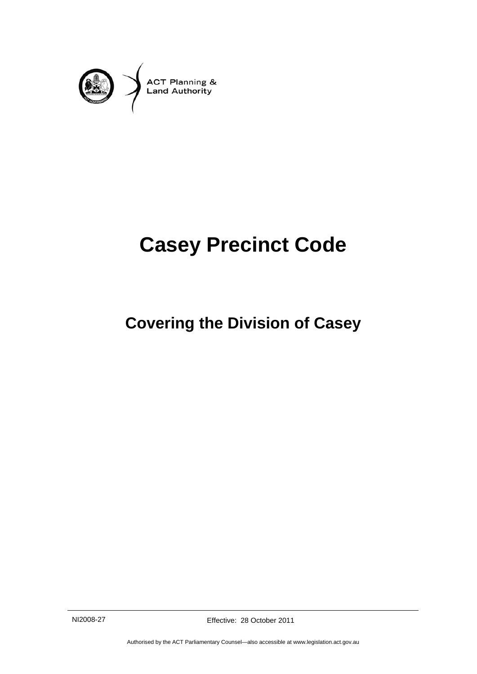

# **Casey Precinct Code**

# **Covering the Division of Casey**

NI2008-27 Effective: 28 October 2011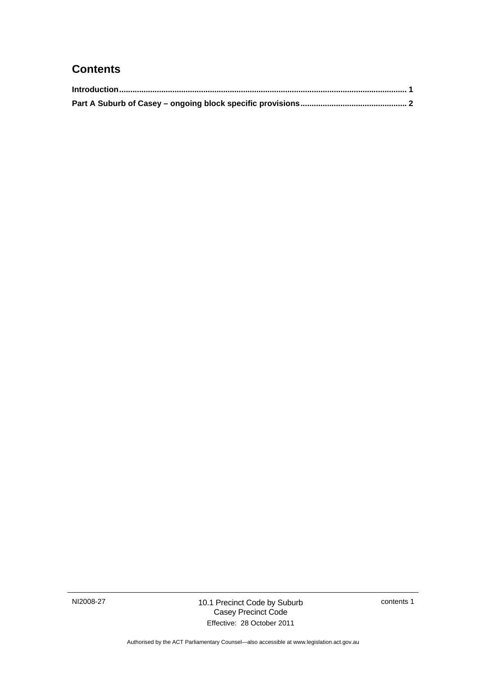### **Contents**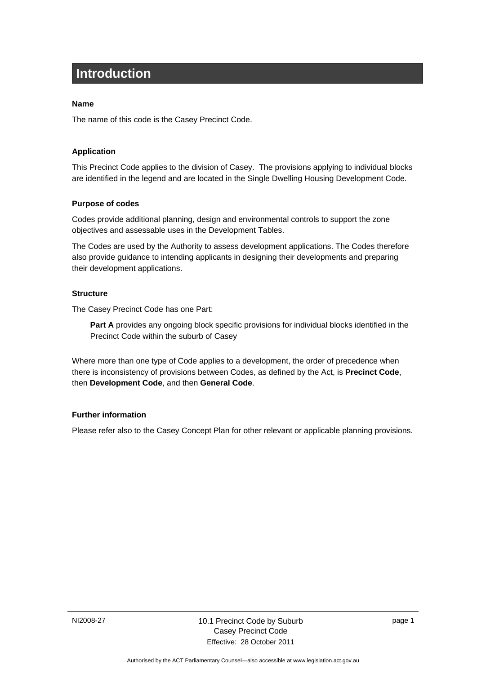# <span id="page-4-0"></span>**Introduction**

#### **Name**

The name of this code is the Casey Precinct Code.

#### **Application**

This Precinct Code applies to the division of Casey. The provisions applying to individual blocks are identified in the legend and are located in the Single Dwelling Housing Development Code.

#### **Purpose of codes**

Codes provide additional planning, design and environmental controls to support the zone objectives and assessable uses in the Development Tables.

The Codes are used by the Authority to assess development applications. The Codes therefore also provide guidance to intending applicants in designing their developments and preparing their development applications.

#### **Structure**

The Casey Precinct Code has one Part:

**Part A** provides any ongoing block specific provisions for individual blocks identified in the Precinct Code within the suburb of Casey

Where more than one type of Code applies to a development, the order of precedence when there is inconsistency of provisions between Codes, as defined by the Act, is **Precinct Code**, then **Development Code**, and then **General Code**.

#### **Further information**

Please refer also to the Casey Concept Plan for other relevant or applicable planning provisions.